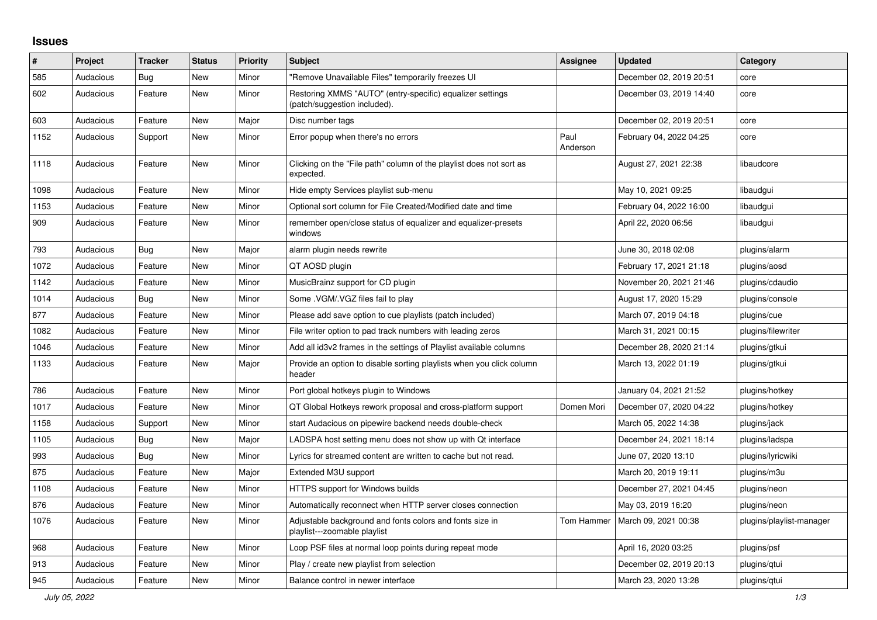## **Issues**

| #    | Project   | <b>Tracker</b> | <b>Status</b> | <b>Priority</b> | <b>Subject</b>                                                                            | Assignee         | <b>Updated</b>          | Category                 |
|------|-----------|----------------|---------------|-----------------|-------------------------------------------------------------------------------------------|------------------|-------------------------|--------------------------|
| 585  | Audacious | Bug            | <b>New</b>    | Minor           | "Remove Unavailable Files" temporarily freezes UI                                         |                  | December 02, 2019 20:51 | core                     |
| 602  | Audacious | Feature        | New           | Minor           | Restoring XMMS "AUTO" (entry-specific) equalizer settings<br>(patch/suggestion included). |                  | December 03, 2019 14:40 | core                     |
| 603  | Audacious | Feature        | <b>New</b>    | Major           | Disc number tags                                                                          |                  | December 02, 2019 20:51 | core                     |
| 1152 | Audacious | Support        | <b>New</b>    | Minor           | Error popup when there's no errors                                                        | Paul<br>Anderson | February 04, 2022 04:25 | core                     |
| 1118 | Audacious | Feature        | New           | Minor           | Clicking on the "File path" column of the playlist does not sort as<br>expected.          |                  | August 27, 2021 22:38   | libaudcore               |
| 1098 | Audacious | Feature        | <b>New</b>    | Minor           | Hide empty Services playlist sub-menu                                                     |                  | May 10, 2021 09:25      | libaudgui                |
| 1153 | Audacious | Feature        | New           | Minor           | Optional sort column for File Created/Modified date and time                              |                  | February 04, 2022 16:00 | libaudgui                |
| 909  | Audacious | Feature        | New           | Minor           | remember open/close status of equalizer and equalizer-presets<br>windows                  |                  | April 22, 2020 06:56    | libaudgui                |
| 793  | Audacious | <b>Bug</b>     | <b>New</b>    | Major           | alarm plugin needs rewrite                                                                |                  | June 30, 2018 02:08     | plugins/alarm            |
| 1072 | Audacious | Feature        | New           | Minor           | QT AOSD plugin                                                                            |                  | February 17, 2021 21:18 | plugins/aosd             |
| 1142 | Audacious | Feature        | New           | Minor           | MusicBrainz support for CD plugin                                                         |                  | November 20, 2021 21:46 | plugins/cdaudio          |
| 1014 | Audacious | Bug            | <b>New</b>    | Minor           | Some .VGM/.VGZ files fail to play                                                         |                  | August 17, 2020 15:29   | plugins/console          |
| 877  | Audacious | Feature        | <b>New</b>    | Minor           | Please add save option to cue playlists (patch included)                                  |                  | March 07, 2019 04:18    | plugins/cue              |
| 1082 | Audacious | Feature        | New           | Minor           | File writer option to pad track numbers with leading zeros                                |                  | March 31, 2021 00:15    | plugins/filewriter       |
| 1046 | Audacious | Feature        | New           | Minor           | Add all id3v2 frames in the settings of Playlist available columns                        |                  | December 28, 2020 21:14 | plugins/gtkui            |
| 1133 | Audacious | Feature        | New           | Major           | Provide an option to disable sorting playlists when you click column<br>header            |                  | March 13, 2022 01:19    | plugins/gtkui            |
| 786  | Audacious | Feature        | New           | Minor           | Port global hotkeys plugin to Windows                                                     |                  | January 04, 2021 21:52  | plugins/hotkey           |
| 1017 | Audacious | Feature        | New           | Minor           | QT Global Hotkeys rework proposal and cross-platform support                              | Domen Mori       | December 07, 2020 04:22 | plugins/hotkey           |
| 1158 | Audacious | Support        | <b>New</b>    | Minor           | start Audacious on pipewire backend needs double-check                                    |                  | March 05, 2022 14:38    | plugins/jack             |
| 1105 | Audacious | Bug            | <b>New</b>    | Major           | LADSPA host setting menu does not show up with Qt interface                               |                  | December 24, 2021 18:14 | plugins/ladspa           |
| 993  | Audacious | <b>Bug</b>     | <b>New</b>    | Minor           | Lyrics for streamed content are written to cache but not read.                            |                  | June 07, 2020 13:10     | plugins/lyricwiki        |
| 875  | Audacious | Feature        | New           | Major           | Extended M3U support                                                                      |                  | March 20, 2019 19:11    | plugins/m3u              |
| 1108 | Audacious | Feature        | New           | Minor           | HTTPS support for Windows builds                                                          |                  | December 27, 2021 04:45 | plugins/neon             |
| 876  | Audacious | Feature        | New           | Minor           | Automatically reconnect when HTTP server closes connection                                |                  | May 03, 2019 16:20      | plugins/neon             |
| 1076 | Audacious | Feature        | <b>New</b>    | Minor           | Adjustable background and fonts colors and fonts size in<br>playlist---zoomable playlist  | Tom Hammer       | March 09, 2021 00:38    | plugins/playlist-manager |
| 968  | Audacious | Feature        | New           | Minor           | Loop PSF files at normal loop points during repeat mode                                   |                  | April 16, 2020 03:25    | plugins/psf              |
| 913  | Audacious | Feature        | <b>New</b>    | Minor           | Play / create new playlist from selection                                                 |                  | December 02, 2019 20:13 | plugins/gtui             |
| 945  | Audacious | Feature        | New           | Minor           | Balance control in newer interface                                                        |                  | March 23, 2020 13:28    | plugins/qtui             |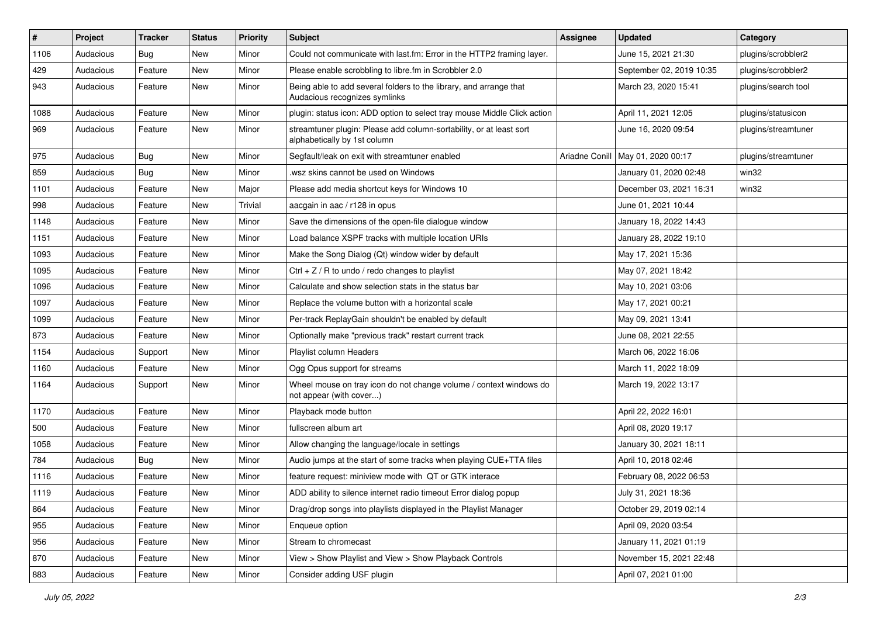| #    | Project   | <b>Tracker</b> | <b>Status</b> | <b>Priority</b> | Subject                                                                                             | Assignee       | <b>Updated</b>           | Category            |
|------|-----------|----------------|---------------|-----------------|-----------------------------------------------------------------------------------------------------|----------------|--------------------------|---------------------|
| 1106 | Audacious | <b>Bug</b>     | <b>New</b>    | Minor           | Could not communicate with last.fm: Error in the HTTP2 framing layer.                               |                | June 15, 2021 21:30      | plugins/scrobbler2  |
| 429  | Audacious | Feature        | New           | Minor           | Please enable scrobbling to libre.fm in Scrobbler 2.0                                               |                | September 02, 2019 10:35 | plugins/scrobbler2  |
| 943  | Audacious | Feature        | New           | Minor           | Being able to add several folders to the library, and arrange that<br>Audacious recognizes symlinks |                | March 23, 2020 15:41     | plugins/search tool |
| 1088 | Audacious | Feature        | <b>New</b>    | Minor           | plugin: status icon: ADD option to select tray mouse Middle Click action                            |                | April 11, 2021 12:05     | plugins/statusicon  |
| 969  | Audacious | Feature        | New           | Minor           | streamtuner plugin: Please add column-sortability, or at least sort<br>alphabetically by 1st column |                | June 16, 2020 09:54      | plugins/streamtuner |
| 975  | Audacious | <b>Bug</b>     | New           | Minor           | Segfault/leak on exit with streamtuner enabled                                                      | Ariadne Conill | May 01, 2020 00:17       | plugins/streamtuner |
| 859  | Audacious | <b>Bug</b>     | New           | Minor           | wsz skins cannot be used on Windows                                                                 |                | January 01, 2020 02:48   | win32               |
| 1101 | Audacious | Feature        | New           | Major           | Please add media shortcut keys for Windows 10                                                       |                | December 03, 2021 16:31  | win32               |
| 998  | Audacious | Feature        | New           | Trivial         | aacgain in aac / r128 in opus                                                                       |                | June 01, 2021 10:44      |                     |
| 1148 | Audacious | Feature        | New           | Minor           | Save the dimensions of the open-file dialogue window                                                |                | January 18, 2022 14:43   |                     |
| 1151 | Audacious | Feature        | New           | Minor           | Load balance XSPF tracks with multiple location URIs                                                |                | January 28, 2022 19:10   |                     |
| 1093 | Audacious | Feature        | New           | Minor           | Make the Song Dialog (Qt) window wider by default                                                   |                | May 17, 2021 15:36       |                     |
| 1095 | Audacious | Feature        | New           | Minor           | Ctrl + $Z$ / R to undo / redo changes to playlist                                                   |                | May 07, 2021 18:42       |                     |
| 1096 | Audacious | Feature        | <b>New</b>    | Minor           | Calculate and show selection stats in the status bar                                                |                | May 10, 2021 03:06       |                     |
| 1097 | Audacious | Feature        | New           | Minor           | Replace the volume button with a horizontal scale                                                   |                | May 17, 2021 00:21       |                     |
| 1099 | Audacious | Feature        | New           | Minor           | Per-track ReplayGain shouldn't be enabled by default                                                |                | May 09, 2021 13:41       |                     |
| 873  | Audacious | Feature        | New           | Minor           | Optionally make "previous track" restart current track                                              |                | June 08, 2021 22:55      |                     |
| 1154 | Audacious | Support        | <b>New</b>    | Minor           | Playlist column Headers                                                                             |                | March 06, 2022 16:06     |                     |
| 1160 | Audacious | Feature        | New           | Minor           | Ogg Opus support for streams                                                                        |                | March 11, 2022 18:09     |                     |
| 1164 | Audacious | Support        | New           | Minor           | Wheel mouse on tray icon do not change volume / context windows do<br>not appear (with cover)       |                | March 19, 2022 13:17     |                     |
| 1170 | Audacious | Feature        | <b>New</b>    | Minor           | Playback mode button                                                                                |                | April 22, 2022 16:01     |                     |
| 500  | Audacious | Feature        | New           | Minor           | fullscreen album art                                                                                |                | April 08, 2020 19:17     |                     |
| 1058 | Audacious | Feature        | New           | Minor           | Allow changing the language/locale in settings                                                      |                | January 30, 2021 18:11   |                     |
| 784  | Audacious | <b>Bug</b>     | New           | Minor           | Audio jumps at the start of some tracks when playing CUE+TTA files                                  |                | April 10, 2018 02:46     |                     |
| 1116 | Audacious | Feature        | New           | Minor           | feature request: miniview mode with QT or GTK interace                                              |                | February 08, 2022 06:53  |                     |
| 1119 | Audacious | Feature        | New           | Minor           | ADD ability to silence internet radio timeout Error dialog popup                                    |                | July 31, 2021 18:36      |                     |
| 864  | Audacious | Feature        | New           | Minor           | Drag/drop songs into playlists displayed in the Playlist Manager                                    |                | October 29, 2019 02:14   |                     |
| 955  | Audacious | Feature        | New           | Minor           | Enqueue option                                                                                      |                | April 09, 2020 03:54     |                     |
| 956  | Audacious | Feature        | New           | Minor           | Stream to chromecast                                                                                |                | January 11, 2021 01:19   |                     |
| 870  | Audacious | Feature        | New           | Minor           | View > Show Playlist and View > Show Playback Controls                                              |                | November 15, 2021 22:48  |                     |
| 883  | Audacious | Feature        | New           | Minor           | Consider adding USF plugin                                                                          |                | April 07, 2021 01:00     |                     |